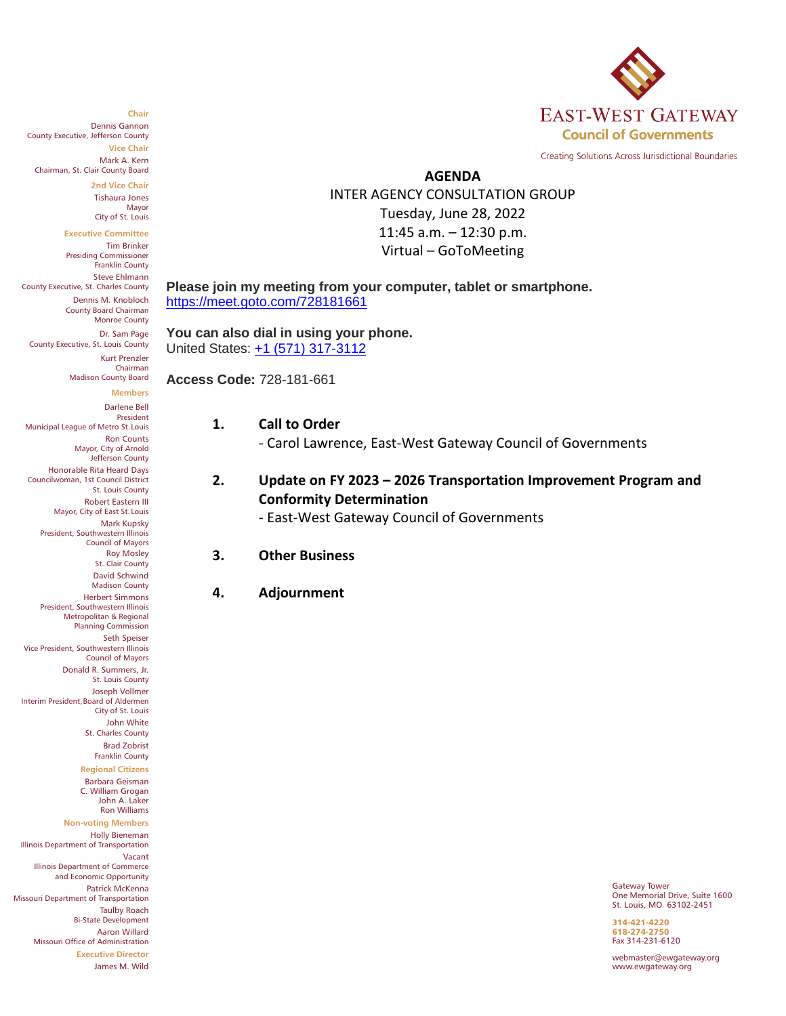

Creating Solutions Across Jurisdictional Boundaries

### **AGENDA**

INTER AGENCY CONSULTATION GROUP Tuesday, June 28, 2022 11:45 a.m. – 12:30 p.m. Virtual – GoToMeeting

#### **Please join my meeting from your computer, tablet or smartphone.** <https://meet.goto.com/728181661>

**You can also dial in using your phone.** United States: [+1 \(571\) 317-3112](tel:+15713173112,,728181661)

**Access Code:** 728-181-661

### **1. Call to Order**

- Carol Lawrence, East-West Gateway Council of Governments

## **2. Update on FY 2023 – 2026 Transportation Improvement Program and Conformity Determination**

- East-West Gateway Council of Governments

#### **3. Other Business**

### **4. Adjournment**

Gateway Tower One Memorial Drive, Suite 1600 St. Louis, MO 63102-2451

314-421-4220 618-274-2750 Fax 314-231-6120

webmaster@ewgateway.org www.ewgateway.org

#### **Chair**

Dennis Gannon County Executive, Jefferson County **Vice Chair** Mark A. Kern

Chairman, St. Clair County Board

**2nd Vice Chair** Tishaura Jones Mayor

City of St. Louis

**Executive Committee** Tim Brinker Presiding Commissioner Franklin County Steve Ehlmann County Executive, St. Charles County Dennis M. Knobloch County Board Chairman Monroe County Dr. Sam Page

County Executive, St. Louis County Kurt Prenzler Chairman Madison County Board

#### **Members**

Darlene Bell President Municipal League of Metro St. Louis Ron Counts Mayor, City of Arnold Jefferson County Honorable Rita Heard Days Councilwoman, 1st Council District St. Louis County Robert Eastern III Mayor, City of East St. Louis Mark Kupsky President, Southwestern Illinois Council of Mayors Roy Mosley St. Clair County David Schwind Madison County Herbert Simmons President, Southwestern Illinois Metropolitan & Regional Planning Commission Seth Speiser Vice President, Southwestern Illinois Council of Mayors Donald R. Summers, Jr. St. Louis County Joseph Vollmer Interim President, Board of Aldermen City of St. Louis John White St. Charles County Brad Zobrist Franklin County **Regional Citizens** Barbara Geisman C. William Grogan John A. Laker Ron Williams **Non-voting Members** Holly Bieneman Illinois Department of Transportation Vacant Illinois Department of Commerce and Economic Opportunity Patrick McKenna Missouri Department of Transportation Taulby Roach Bi-State Development Aaron Willard Missouri Office of Administration **Executive Director** James M. Wild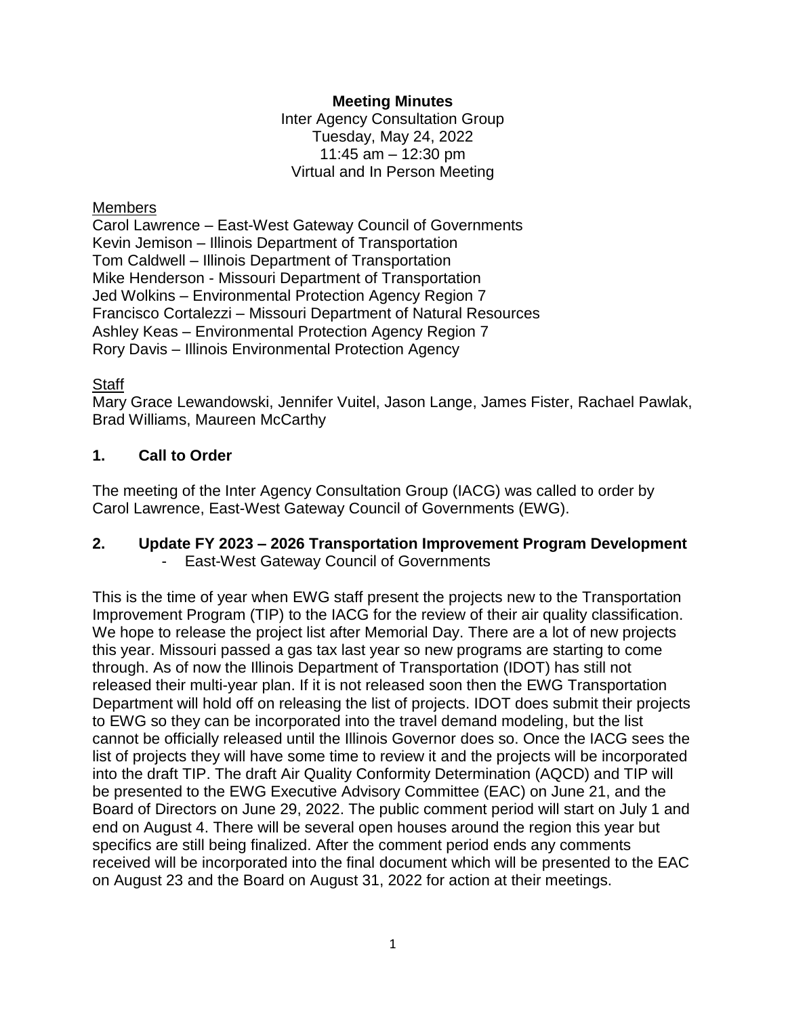## **Meeting Minutes**

Inter Agency Consultation Group Tuesday, May 24, 2022 11:45 am – 12:30 pm Virtual and In Person Meeting

## **Members**

Carol Lawrence – East-West Gateway Council of Governments Kevin Jemison – Illinois Department of Transportation Tom Caldwell – Illinois Department of Transportation Mike Henderson - Missouri Department of Transportation Jed Wolkins – Environmental Protection Agency Region 7 Francisco Cortalezzi – Missouri Department of Natural Resources Ashley Keas – Environmental Protection Agency Region 7 Rory Davis – Illinois Environmental Protection Agency

## Staff

Mary Grace Lewandowski, Jennifer Vuitel, Jason Lange, James Fister, Rachael Pawlak, Brad Williams, Maureen McCarthy

# **1. Call to Order**

The meeting of the Inter Agency Consultation Group (IACG) was called to order by Carol Lawrence, East-West Gateway Council of Governments (EWG).

## **2. Update FY 2023 – 2026 Transportation Improvement Program Development** East-West Gateway Council of Governments

This is the time of year when EWG staff present the projects new to the Transportation Improvement Program (TIP) to the IACG for the review of their air quality classification. We hope to release the project list after Memorial Day. There are a lot of new projects this year. Missouri passed a gas tax last year so new programs are starting to come through. As of now the Illinois Department of Transportation (IDOT) has still not released their multi-year plan. If it is not released soon then the EWG Transportation Department will hold off on releasing the list of projects. IDOT does submit their projects to EWG so they can be incorporated into the travel demand modeling, but the list cannot be officially released until the Illinois Governor does so. Once the IACG sees the list of projects they will have some time to review it and the projects will be incorporated into the draft TIP. The draft Air Quality Conformity Determination (AQCD) and TIP will be presented to the EWG Executive Advisory Committee (EAC) on June 21, and the Board of Directors on June 29, 2022. The public comment period will start on July 1 and end on August 4. There will be several open houses around the region this year but specifics are still being finalized. After the comment period ends any comments received will be incorporated into the final document which will be presented to the EAC on August 23 and the Board on August 31, 2022 for action at their meetings.